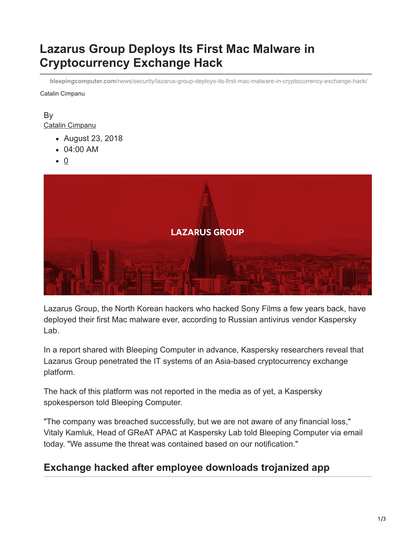# **Lazarus Group Deploys Its First Mac Malware in Cryptocurrency Exchange Hack**

Catalin Cimpanu **bleepingcomputer.com**[/news/security/lazarus-group-deploys-its-first-mac-malware-in-cryptocurrency-exchange-hack/](https://www.bleepingcomputer.com/news/security/lazarus-group-deploys-its-first-mac-malware-in-cryptocurrency-exchange-hack/)

By [Catalin Cimpanu](https://www.bleepingcomputer.com/author/catalin-cimpanu/)

- August 23, 2018
- 04:00 AM
- $\bullet$  0



Lazarus Group, the North Korean hackers who hacked Sony Films a few years back, have deployed their first Mac malware ever, according to Russian antivirus vendor Kaspersky Lab.

In a report shared with Bleeping Computer in advance, Kaspersky researchers reveal that Lazarus Group penetrated the IT systems of an Asia-based cryptocurrency exchange platform.

The hack of this platform was not reported in the media as of yet, a Kaspersky spokesperson told Bleeping Computer.

"The company was breached successfully, but we are not aware of any financial loss," Vitaly Kamluk, Head of GReAT APAC at Kaspersky Lab told Bleeping Computer via email today. "We assume the threat was contained based on our notification."

### **Exchange hacked after employee downloads trojanized app**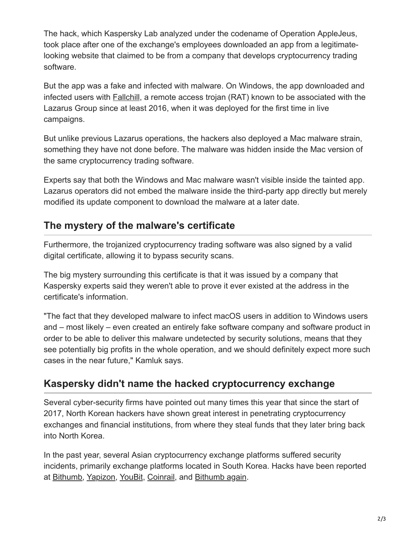The hack, which Kaspersky Lab analyzed under the codename of Operation AppleJeus, took place after one of the exchange's employees downloaded an app from a legitimatelooking website that claimed to be from a company that develops cryptocurrency trading software.

But the app was a fake and infected with malware. On Windows, the app downloaded and infected users with [Fallchill,](https://www.cyber.nj.gov/threat-profiles/trojan-variants/fallchill) a remote access trojan (RAT) known to be associated with the Lazarus Group since at least 2016, when it was deployed for the first time in live campaigns.

But unlike previous Lazarus operations, the hackers also deployed a Mac malware strain, something they have not done before. The malware was hidden inside the Mac version of the same cryptocurrency trading software.

Experts say that both the Windows and Mac malware wasn't visible inside the tainted app. Lazarus operators did not embed the malware inside the third-party app directly but merely modified its update component to download the malware at a later date.

# **The mystery of the malware's certificate**

Furthermore, the trojanized cryptocurrency trading software was also signed by a valid digital certificate, allowing it to bypass security scans.

The big mystery surrounding this certificate is that it was issued by a company that Kaspersky experts said they weren't able to prove it ever existed at the address in the certificate's information.

"The fact that they developed malware to infect macOS users in addition to Windows users and – most likely – even created an entirely fake software company and software product in order to be able to deliver this malware undetected by security solutions, means that they see potentially big profits in the whole operation, and we should definitely expect more such cases in the near future," Kamluk says.

## **Kaspersky didn't name the hacked cryptocurrency exchange**

Several cyber-security firms have pointed out many times this year that since the start of 2017, North Korean hackers have shown great interest in penetrating cryptocurrency exchanges and financial institutions, from where they steal funds that they later bring back into North Korea.

In the past year, several Asian cryptocurrency exchange platforms suffered security incidents, primarily exchange platforms located in South Korea. Hacks have been reported at [Bithumb](https://www.bleepingcomputer.com/news/security/fourth-largest-cryptocurrency-exchange-was-hacked-users-lose-ethereum-and-bitcoin/), [Yapizon,](https://www.bleepingcomputer.com/news/security/hacked-south-korean-bitcoin-exchange-loses-5-5-million/) [YouBit](https://www.bleepingcomputer.com/news/security/bitcoin-exchange-shuts-down-after-getting-hacked-a-second-time-this-year/), [Coinrail,](https://www.bleepingcomputer.com/news/security/south-korean-cryptocurrency-exchange-coinrail-gets-hacked/) and [Bithumb again.](https://www.bleepingcomputer.com/news/security/bithumb-hacked-second-time-in-a-year-hackers-steal-31-million/)